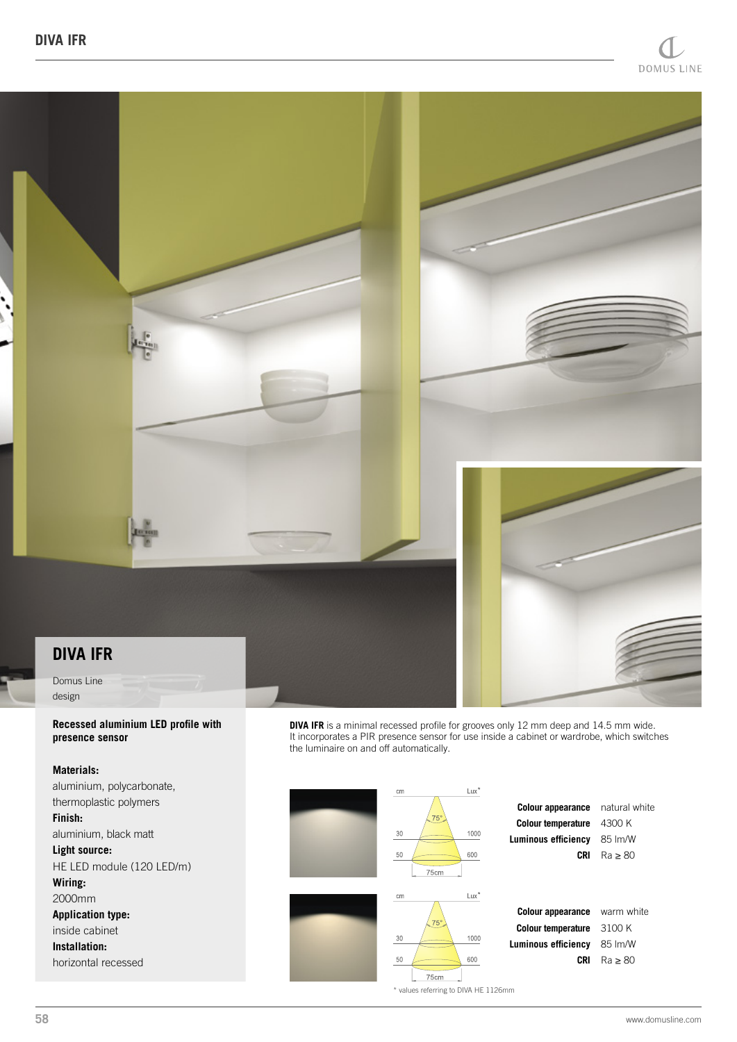

# **DIVA IFR**

Domus Line design

#### **Recessed aluminium LED profile with presence sensor**

### **Materials:**

aluminium, polycarbonate, thermoplastic polymers **Finish:** aluminium, black matt **Light source:** HE LED module (120 LED/m) **Wiring:** 2000mm **Application type:** inside cabinet **Installation:** horizontal recessed

**DIVA IFR** is a minimal recessed profile for grooves only 12 mm deep and 14.5 mm wide. It incorporates a PIR presence sensor for use inside a cabinet or wardrobe, which switches the luminaire on and off automatically.